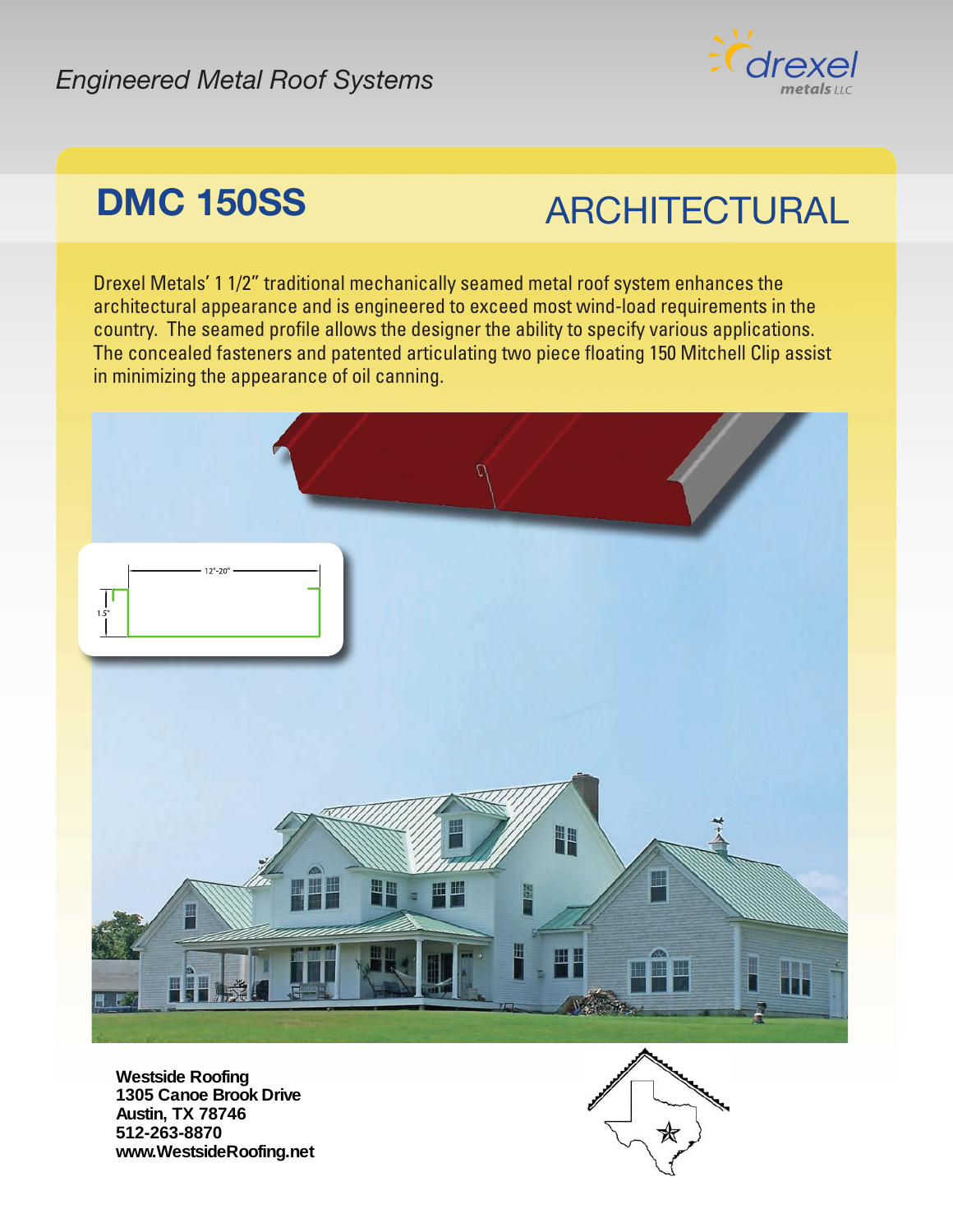#### *Engineered Metal Roof Systems*



## **DMC 150SS ARCHITECTURAL**

Drexel Metals' 1 1/2" traditional mechanically seamed metal roof system enhances the architectural appearance and is engineered to exceed most wind-load requirements in the country. The seamed profile allows the designer the ability to specify various applications. The concealed fasteners and patented articulating two piece floating 150 Mitchell Clip assist in minimizing the appearance of oil canning.



**Westside Roofing 1305 Canoe Brook Drive Austin, TX 78746 512-263-8870 www.WestsideRoofing.net**